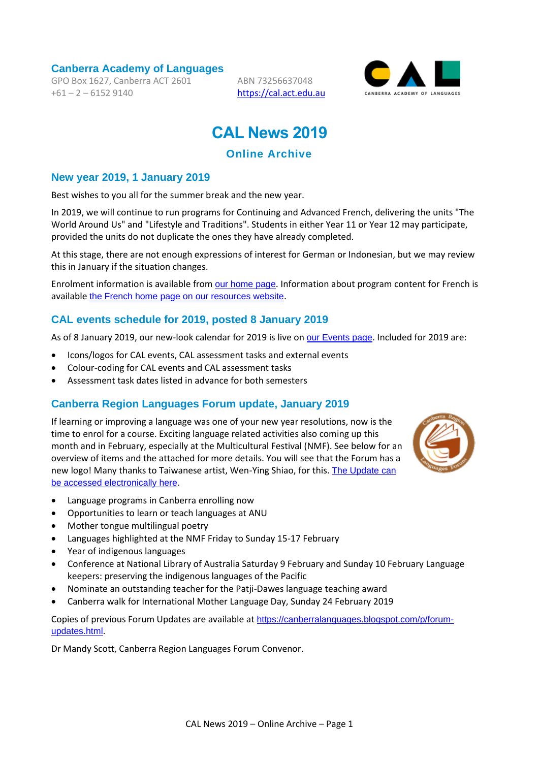**Canberra Academy of Languages**

GPO Box 1627, Canberra ACT 2601  $+61 - 2 - 61529140$ 

ABN 73256637048 [https://cal.act.edu.au](https://cal.act.edu.au/)



# **CAL News 2019**

# **Online Archive**

#### **New year 2019, 1 January 2019**

Best wishes to you all for the summer break and the new year.

In 2019, we will continue to run programs for Continuing and Advanced French, delivering the units "The World Around Us" and "Lifestyle and Traditions". Students in either Year 11 or Year 12 may participate, provided the units do not duplicate the ones they have already completed.

At this stage, there are not enough expressions of interest for German or Indonesian, but we may review this in January if the situation changes.

Enrolment information is available from [our home page](https://cal.act.edu.au/index.htm). Information about program content for French is available [the French home page on our resources website](https://languages.org.au/french/french.htm).

#### **CAL events schedule for 2019, posted 8 January 2019**

As of 8 January 2019, our new-look calendar for 2019 is live on [our Events page](https://cal.act.edu.au/events.htm). Included for 2019 are:

- Icons/logos for CAL events, CAL assessment tasks and external events
- Colour-coding for CAL events and CAL assessment tasks
- Assessment task dates listed in advance for both semesters

#### **Canberra Region Languages Forum update, January 2019**

If learning or improving a language was one of your new year resolutions, now is the time to enrol for a course. Exciting language related activities also coming up this month and in February, especially at the Multicultural Festival (NMF). See below for an overview of items and the attached for more details. You will see that the Forum has a new logo! Many thanks to Taiwanese artist, Wen-Ying Shiao, for this. The Update can [be accessed electronically here](https://cal.act.edu.au/docs/Languages_Forum_Update_January_2019.pdf).



- Language programs in Canberra enrolling now
- Opportunities to learn or teach languages at ANU
- Mother tongue multilingual poetry
- Languages highlighted at the NMF Friday to Sunday 15-17 February
- Year of indigenous languages
- Conference at National Library of Australia Saturday 9 February and Sunday 10 February Language keepers: preserving the indigenous languages of the Pacific
- Nominate an outstanding teacher for the Patji-Dawes language teaching award
- Canberra walk for International Mother Language Day, Sunday 24 February 2019

Copies of previous Forum Updates are available at [https://canberralanguages.blogspot.com/p/forum](https://canberralanguages.blogspot.com/p/forum-updates.html)[updates.html](https://canberralanguages.blogspot.com/p/forum-updates.html).

Dr Mandy Scott, Canberra Region Languages Forum Convenor.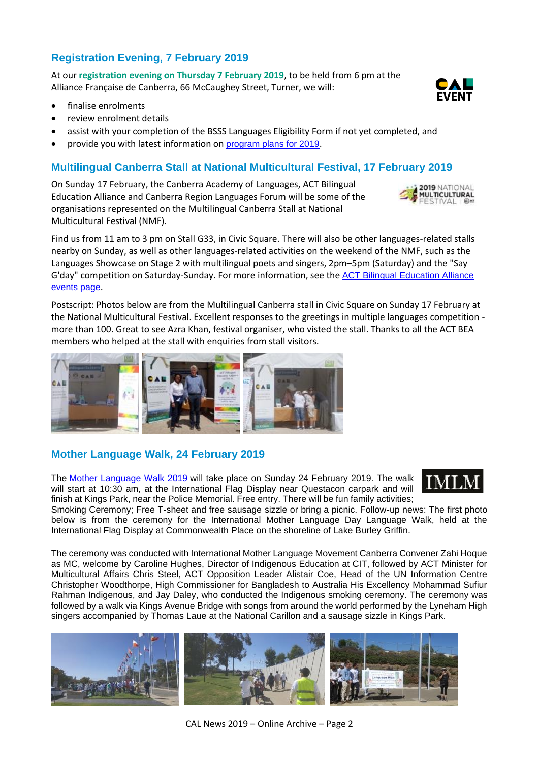# **Registration Evening, 7 February 2019**

At our **registration evening on Thursday 7 February 2019**, to be held from 6 pm at the Alliance Française de Canberra, 66 McCaughey Street, Turner, we will:

- finalise enrolments
- review enrolment details
- assist with your completion of the BSSS Languages Eligibility Form if not yet completed, and
- provide you with latest information on [program plans for 2019](https://languages.org.au/french/french.htm).

#### **Multilingual Canberra Stall at National Multicultural Festival, 17 February 2019**

On Sunday 17 February, the Canberra Academy of Languages, ACT Bilingual Education Alliance and Canberra Region Languages Forum will be some of the organisations represented on the Multilingual Canberra Stall at National Multicultural Festival (NMF).

Find us from 11 am to 3 pm on Stall G33, in Civic Square. There will also be other languages-related stalls nearby on Sunday, as well as other languages-related activities on the weekend of the NMF, such as the Languages Showcase on Stage 2 with multilingual poets and singers, 2pm–5pm (Saturday) and the "Say G'day" competition on Saturday-Sunday. For more information, see the [ACT Bilingual Education Alliance](https://actbilingual.weebly.com/events.html)  [events page](https://actbilingual.weebly.com/events.html).

Postscript: Photos below are from the Multilingual Canberra stall in Civic Square on Sunday 17 February at the National Multicultural Festival. Excellent responses to the greetings in multiple languages competition more than 100. Great to see Azra Khan, festival organiser, who visted the stall. Thanks to all the ACT BEA members who helped at the stall with enquiries from stall visitors.

# **Mother Language Walk, 24 February 2019**

The [Mother Language Walk 2019](https://cal.act.edu.au/docs/IMLM-ML-Walk-2019-Flier.pdf) will take place on Sunday 24 February 2019. The walk will start at 10:30 am, at the International Flag Display near Questacon carpark and will finish at Kings Park, near the Police Memorial. Free entry. There will be fun family activities;

Smoking Ceremony; Free T-sheet and free sausage sizzle or bring a picnic. Follow-up news: The first photo below is from the ceremony for the International Mother Language Day Language Walk, held at the International Flag Display at Commonwealth Place on the shoreline of Lake Burley Griffin.

The ceremony was conducted with International Mother Language Movement Canberra Convener Zahi Hoque as MC, welcome by Caroline Hughes, Director of Indigenous Education at CIT, followed by ACT Minister for Multicultural Affairs Chris Steel, ACT Opposition Leader Alistair Coe, Head of the UN Information Centre Christopher Woodthorpe, High Commissioner for Bangladesh to Australia His Excellency Mohammad Sufiur Rahman Indigenous, and Jay Daley, who conducted the Indigenous smoking ceremony. The ceremony was followed by a walk via Kings Avenue Bridge with songs from around the world performed by the Lyneham High singers accompanied by Thomas Laue at the National Carillon and a sausage sizzle in Kings Park.









MULTICULTURAL ESTIVAL

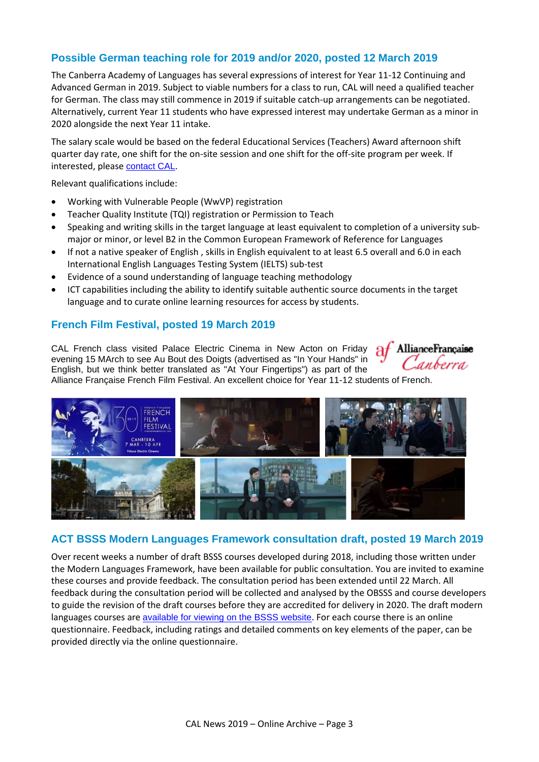#### **Possible German teaching role for 2019 and/or 2020, posted 12 March 2019**

The Canberra Academy of Languages has several expressions of interest for Year 11-12 Continuing and Advanced German in 2019. Subject to viable numbers for a class to run, CAL will need a qualified teacher for German. The class may still commence in 2019 if suitable catch-up arrangements can be negotiated. Alternatively, current Year 11 students who have expressed interest may undertake German as a minor in 2020 alongside the next Year 11 intake.

The salary scale would be based on the federal Educational Services (Teachers) Award afternoon shift quarter day rate, one shift for the on-site session and one shift for the off-site program per week. If interested, please [contact CAL](mailto:info@cal.act.edu.au).

Relevant qualifications include:

- Working with Vulnerable People (WwVP) registration
- Teacher Quality Institute (TQI) registration or Permission to Teach
- Speaking and writing skills in the target language at least equivalent to completion of a university submajor or minor, or level B2 in the Common European Framework of Reference for Languages
- If not a native speaker of English , skills in English equivalent to at least 6.5 overall and 6.0 in each International English Languages Testing System (IELTS) sub-test
- Evidence of a sound understanding of language teaching methodology
- ICT capabilities including the ability to identify suitable authentic source documents in the target language and to curate online learning resources for access by students.

#### **French Film Festival, posted 19 March 2019**

CAL French class visited Palace Electric Cinema in New Acton on Friday evening 15 MArch to see Au Bout des Doigts (advertised as "In Your Hands" in English, but we think better translated as "At Your Fingertips") as part of the



Alliance Française French Film Festival. An excellent choice for Year 11-12 students of French.



#### **ACT BSSS Modern Languages Framework consultation draft, posted 19 March 2019**

Over recent weeks a number of draft BSSS courses developed during 2018, including those written under the Modern Languages Framework, have been available for public consultation. You are invited to examine these courses and provide feedback. The consultation period has been extended until 22 March. All feedback during the consultation period will be collected and analysed by the OBSSS and course developers to guide the revision of the draft courses before they are accredited for delivery in 2020. The draft modern languages courses are [available for viewing on the BSSS website](http://www.bsss.act.edu.au/curriculum/bsss_course_development_consultation/courses_written_under_the_modern_languages_framework). For each course there is an online questionnaire. Feedback, including ratings and detailed comments on key elements of the paper, can be provided directly via the online questionnaire.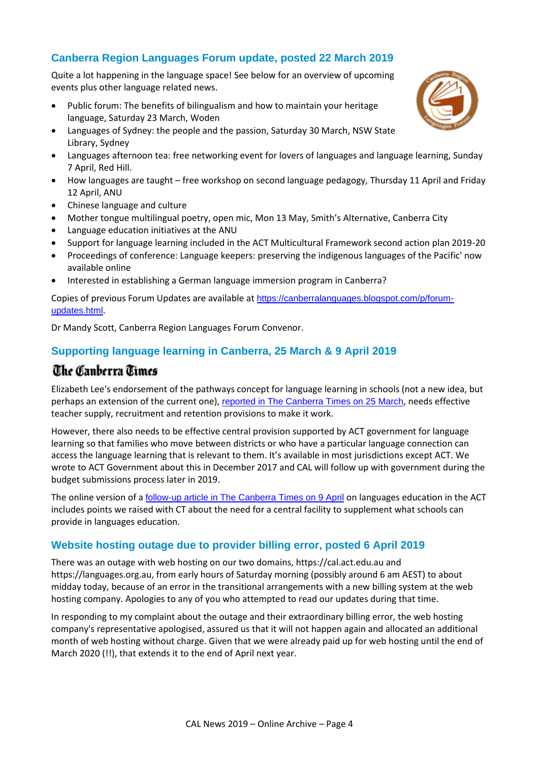# **Canberra Region Languages Forum update, posted 22 March 2019**

Quite a lot happening in the language space! See below for an overview of upcoming events plus other language related news.

- Public forum: The benefits of bilingualism and how to maintain your heritage language, Saturday 23 March, Woden
- Languages of Sydney: the people and the passion, Saturday 30 March, NSW State Library, Sydney
- Languages afternoon tea: free networking event for lovers of languages and language learning, Sunday 7 April, Red Hill.
- How languages are taught free workshop on second language pedagogy, Thursday 11 April and Friday 12 April, ANU
- Chinese language and culture
- Mother tongue multilingual poetry, open mic, Mon 13 May, Smith's Alternative, Canberra City
- Language education initiatives at the ANU
- Support for language learning included in the ACT Multicultural Framework second action plan 2019-20
- Proceedings of conference: Language keepers: preserving the indigenous languages of the Pacific' now available online
- Interested in establishing a German language immersion program in Canberra?

Copies of previous Forum Updates are available at [https://canberralanguages.blogspot.com/p/forum](https://canberralanguages.blogspot.com/p/forum-updates.html)[updates.html](https://canberralanguages.blogspot.com/p/forum-updates.html).

Dr Mandy Scott, Canberra Region Languages Forum Convenor.

### **Supporting language learning in Canberra, 25 March & 9 April 2019**

# The Canberra Times

Elizabeth Lee's endorsement of the pathways concept for language learning in schools (not a new idea, but perhaps an extension of the current one), [reported in The Canberra Times on 25 March](https://www.canberratimes.com.au/story/5992203/liberals-plan-to-revamp-act-language-teaching/), needs effective teacher supply, recruitment and retention provisions to make it work.

However, there also needs to be effective central provision supported by ACT government for language learning so that families who move between districts or who have a particular language connection can access the language learning that is relevant to them. It's available in most jurisdictions except ACT. We wrote to ACT Government about this in December 2017 and CAL will follow up with government during the budget submissions process later in 2019.

The online version of a **[follow-up article in The Canberra Times on 9 April](https://www.canberratimes.com.au/story/6006721/shake-up-in-act-school-language-teaching-planned/) on languages education in the ACT** includes points we raised with CT about the need for a central facility to supplement what schools can provide in languages education.

#### **Website hosting outage due to provider billing error, posted 6 April 2019**

There was an outage with web hosting on our two domains, https://cal.act.edu.au and https://languages.org.au, from early hours of Saturday morning (possibly around 6 am AEST) to about midday today, because of an error in the transitional arrangements with a new billing system at the web hosting company. Apologies to any of you who attempted to read our updates during that time.

In responding to my complaint about the outage and their extraordinary billing error, the web hosting company's representative apologised, assured us that it will not happen again and allocated an additional month of web hosting without charge. Given that we were already paid up for web hosting until the end of March 2020 (!!), that extends it to the end of April next year.

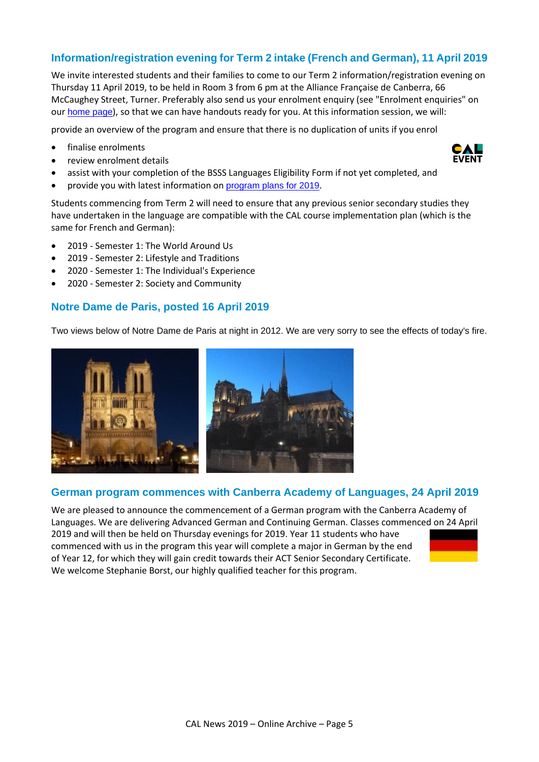#### **Information/registration evening for Term 2 intake (French and German), 11 April 2019**

We invite interested students and their families to come to our Term 2 information/registration evening on Thursday 11 April 2019, to be held in Room 3 from 6 pm at the Alliance Française de Canberra, 66 McCaughey Street, Turner. Preferably also send us your enrolment enquiry (see "Enrolment enquiries" on our [home page](https://cal.act.edu.au/index.htm)), so that we can have handouts ready for you. At this information session, we will:

provide an overview of the program and ensure that there is no duplication of units if you enrol

- finalise enrolments
- review enrolment details
- assist with your completion of the BSSS Languages Eligibility Form if not yet completed, and
- provide you with latest information on [program plans for 2019](https://languages.org.au/french/french.htm).

Students commencing from Term 2 will need to ensure that any previous senior secondary studies they have undertaken in the language are compatible with the CAL course implementation plan (which is the same for French and German):

- 2019 Semester 1: The World Around Us
- 2019 Semester 2: Lifestyle and Traditions
- 2020 Semester 1: The Individual's Experience
- 2020 Semester 2: Society and Community

#### **Notre Dame de Paris, posted 16 April 2019**

Two views below of Notre Dame de Paris at night in 2012. We are very sorry to see the effects of today's fire.



#### **German program commences with Canberra Academy of Languages, 24 April 2019**

We are pleased to announce the commencement of a German program with the Canberra Academy of Languages. We are delivering Advanced German and Continuing German. Classes commenced on 24 April 2019 and will then be held on Thursday evenings for 2019. Year 11 students who have commenced with us in the program this year will complete a major in German by the end of Year 12, for which they will gain credit towards their ACT Senior Secondary Certificate. We welcome Stephanie Borst, our highly qualified teacher for this program.



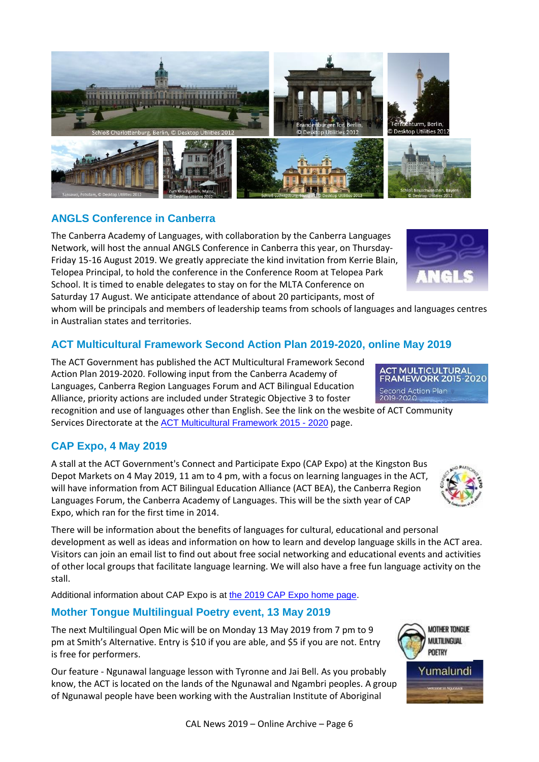

# Additional information about CAP Expo is at [the 2019 CAP Expo home page.](https://www.communityservices.act.gov.au/wac/community/connect-and-participate-expo)

# **Mother Tongue Multilingual Poetry event, 13 May 2019**

The next Multilingual Open Mic will be on Monday 13 May 2019 from 7 pm to 9 pm at Smith's Alternative. Entry is \$10 if you are able, and \$5 if you are not. Entry is free for performers.

Our feature - Ngunawal language lesson with Tyronne and Jai Bell. As you probably know, the ACT is located on the lands of the Ngunawal and Ngambri peoples. A group of Ngunawal people have been working with the Australian Institute of Aboriginal

# **ANGLS Conference in Canberra**

The Canberra Academy of Languages, with collaboration by the Canberra Languages Network, will host the annual ANGLS Conference in Canberra this year, on Thursday-Friday 15-16 August 2019. We greatly appreciate the kind invitation from Kerrie Blain, Telopea Principal, to hold the conference in the Conference Room at Telopea Park School. It is timed to enable delegates to stay on for the MLTA Conference on Saturday 17 August. We anticipate attendance of about 20 participants, most of

whom will be principals and members of leadership teams from schools of languages and languages centres in Australian states and territories.

# **ACT Multicultural Framework Second Action Plan 2019-2020, online May 2019**

The ACT Government has published the ACT Multicultural Framework Second Action Plan 2019-2020. Following input from the Canberra Academy of Languages, Canberra Region Languages Forum and ACT Bilingual Education Alliance, priority actions are included under Strategic Objective 3 to foster

recognition and use of languages other than English. See the link on the wesbite of ACT Community Services Directorate at the [ACT Multicultural Framework 2015 -](https://www.communityservices.act.gov.au/multicultural/act-multicultural-framework-2015-2020) 2020 page.

# **CAP Expo, 4 May 2019**

A stall at the ACT Government's Connect and Participate Expo (CAP Expo) at the Kingston Bus Depot Markets on 4 May 2019, 11 am to 4 pm, with a focus on learning languages in the ACT, will have information from ACT Bilingual Education Alliance (ACT BEA), the Canberra Region Languages Forum, the Canberra Academy of Languages. This will be the sixth year of CAP Expo, which ran for the first time in 2014.

There will be information about the benefits of languages for cultural, educational and personal development as well as ideas and information on how to learn and develop language skills in the ACT area. Visitors can join an email list to find out about free social networking and educational events and activities of other local groups that facilitate language learning. We will also have a free fun language activity on the stall.









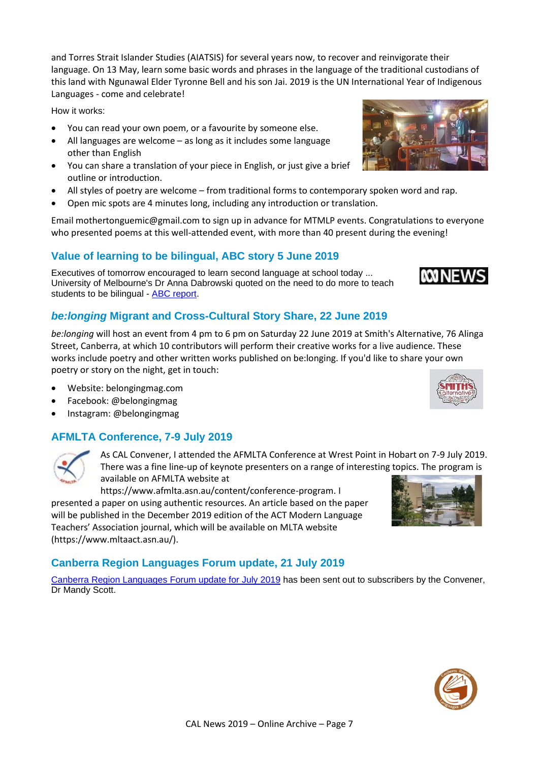and Torres Strait Islander Studies (AIATSIS) for several years now, to recover and reinvigorate their language. On 13 May, learn some basic words and phrases in the language of the traditional custodians of this land with Ngunawal Elder Tyronne Bell and his son Jai. 2019 is the UN International Year of Indigenous Languages - come and celebrate!

How it works:

- You can read your own poem, or a favourite by someone else.
- All languages are welcome as long as it includes some language other than English
- You can share a translation of your piece in English, or just give a brief outline or introduction.
- All styles of poetry are welcome from traditional forms to contemporary spoken word and rap.
- Open mic spots are 4 minutes long, including any introduction or translation.

Email mothertonguemic@gmail.com to sign up in advance for MTMLP events. Congratulations to everyone who presented poems at this well-attended event, with more than 40 present during the evening!

# **Value of learning to be bilingual, ABC story 5 June 2019**

Executives of tomorrow encouraged to learn second language at school today ... University of Melbourne's Dr Anna Dabrowski quoted on the need to do more to teach students to be bilingual - [ABC report.](https://www.abc.net.au/news/2019-06-05/indonesian-consul-general-visits-scotts-head-school/11159470)

# *be:longing* **Migrant and Cross-Cultural Story Share, 22 June 2019**

*be:longing* will host an event from 4 pm to 6 pm on Saturday 22 June 2019 at Smith's Alternative, 76 Alinga Street, Canberra, at which 10 contributors will perform their creative works for a live audience. These works include poetry and other written works published on be:longing. If you'd like to share your own poetry or story on the night, get in touch:

As CAL Convener, I attended the AFMLTA Conference at Wrest Point in Hobart on 7-9 July 2019.

- Website: belongingmag.com
- Facebook: @belongingmag
- Instagram: @belongingmag

### **AFMLTA Conference, 7-9 July 2019**

available on AFMLTA website at https://www.afmlta.asn.au/content/conference-program. I

presented a paper on using authentic resources. An article based on the paper will be published in the December 2019 edition of the ACT Modern Language Teachers' Association journal, which will be available on MLTA website (https://www.mltaact.asn.au/).

### **Canberra Region Languages Forum update, 21 July 2019**

[Canberra Region Languages](https://cal.act.edu.au/docs/Languages_Forum_Update_July_2019.pdf) Forum update for July 2019 has been sent out to subscribers by the Convener, Dr Mandy Scott.







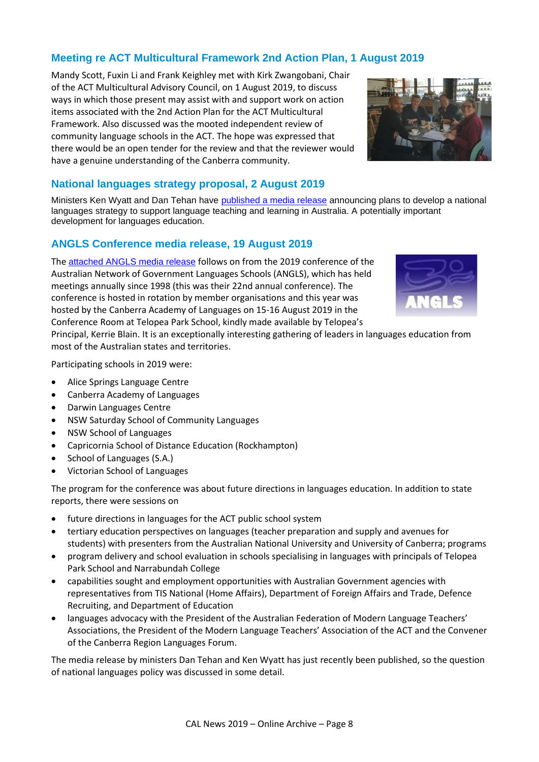# **Meeting re ACT Multicultural Framework 2nd Action Plan, 1 August 2019**

Mandy Scott, Fuxin Li and Frank Keighley met with Kirk Zwangobani, Chair of the ACT Multicultural Advisory Council, on 1 August 2019, to discuss ways in which those present may assist with and support work on action items associated with the 2nd Action Plan for the ACT Multicultural Framework. Also discussed was the mooted independent review of community language schools in the ACT. The hope was expressed that there would be an open tender for the review and that the reviewer would have a genuine understanding of the Canberra community.



#### **National languages strategy proposal, 2 August 2019**

Ministers Ken Wyatt and Dan Tehan have [published a media release](https://ministers.education.gov.au/tehan/investing-languages-studies-australia) announcing plans to develop a national languages strategy to support language teaching and learning in Australia. A potentially important development for languages education.

#### **ANGLS Conference media release, 19 August 2019**

The [attached ANGLS media release](https://cal.act.edu.au/docs/ANGLS_media_release_2019-08-19.pdf) follows on from the 2019 conference of the Australian Network of Government Languages Schools (ANGLS), which has held meetings annually since 1998 (this was their 22nd annual conference). The conference is hosted in rotation by member organisations and this year was hosted by the Canberra Academy of Languages on 15-16 August 2019 in the Conference Room at Telopea Park School, kindly made available by Telopea's



Principal, Kerrie Blain. It is an exceptionally interesting gathering of leaders in languages education from most of the Australian states and territories.

Participating schools in 2019 were:

- Alice Springs Language Centre
- Canberra Academy of Languages
- Darwin Languages Centre
- NSW Saturday School of Community Languages
- NSW School of Languages
- Capricornia School of Distance Education (Rockhampton)
- School of Languages (S.A.)
- Victorian School of Languages

The program for the conference was about future directions in languages education. In addition to state reports, there were sessions on

- future directions in languages for the ACT public school system
- tertiary education perspectives on languages (teacher preparation and supply and avenues for students) with presenters from the Australian National University and University of Canberra; programs
- program delivery and school evaluation in schools specialising in languages with principals of Telopea Park School and Narrabundah College
- capabilities sought and employment opportunities with Australian Government agencies with representatives from TIS National (Home Affairs), Department of Foreign Affairs and Trade, Defence Recruiting, and Department of Education
- languages advocacy with the President of the Australian Federation of Modern Language Teachers' Associations, the President of the Modern Language Teachers' Association of the ACT and the Convener of the Canberra Region Languages Forum.

The media release by ministers Dan Tehan and Ken Wyatt has just recently been published, so the question of national languages policy was discussed in some detail.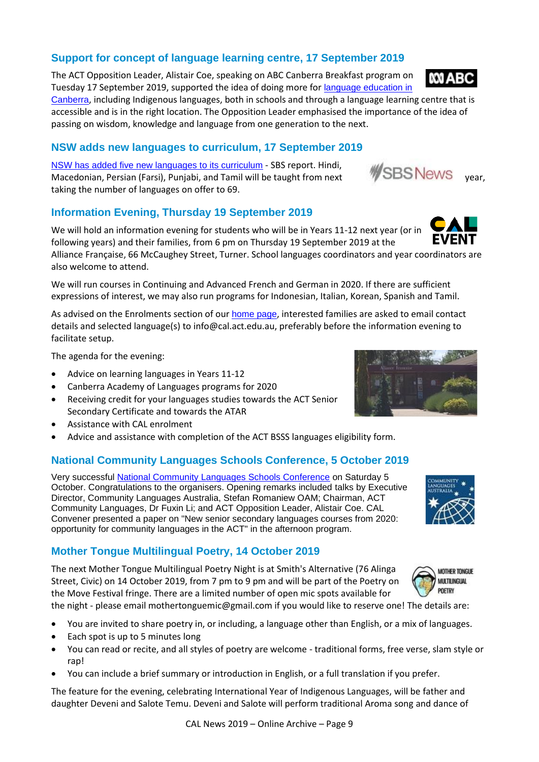# **Support for concept of language learning centre, 17 September 2019**

The ACT Opposition Leader, Alistair Coe, speaking on ABC Canberra Breakfast program on Tuesday 17 September 2019, supported the idea of doing more for [language education in](https://cal.act.edu.au/audio/Alistair_Coe_re_language_learning_centre_2019-09-17.mp3)  [Canberra](https://cal.act.edu.au/audio/Alistair_Coe_re_language_learning_centre_2019-09-17.mp3), including Indigenous languages, both in schools and through a language learning centre that is

accessible and is in the right location. The Opposition Leader emphasised the importance of the idea of passing on wisdom, knowledge and language from one generation to the next.

# **NSW adds new languages to curriculum, 17 September 2019**

[NSW has added five new languages to its curriculum](https://www.sbs.com.au/news/hindi-tamil-among-new-languages-to-be-taught-in-nsw-schools) - SBS report. Hindi, MSW has added five new languages to its curriculum - SBS report. Filitur,<br>Macedonian, Persian (Farsi), Punjabi, and Tamil will be taught from next WSBS NeWS year, taking the number of languages on offer to 69.

# **Information Evening, Thursday 19 September 2019**

We will hold an information evening for students who will be in Years 11-12 next year (or in following years) and their families, from 6 pm on Thursday 19 September 2019 at the Alliance Française, 66 McCaughey Street, Turner. School languages coordinators and year coordinators are also welcome to attend.

We will run courses in Continuing and Advanced French and German in 2020. If there are sufficient expressions of interest, we may also run programs for Indonesian, Italian, Korean, Spanish and Tamil.

As advised on the Enrolments section of our [home page](https://cal.act.edu.au/index.htm#enrolment), interested families are asked to email contact details and selected language(s) to info@cal.act.edu.au, preferably before the information evening to facilitate setup.

The agenda for the evening:

- Advice on learning languages in Years 11-12
- Canberra Academy of Languages programs for 2020
- Receiving credit for your languages studies towards the ACT Senior Secondary Certificate and towards the ATAR
- Assistance with CAL enrolment
- Advice and assistance with completion of the ACT BSSS languages eligibility form.

### **National Community Languages Schools Conference, 5 October 2019**

Very successful [National Community Languages Schools Conference](http://www.communitylanguagesaustralia.org.au/news/2019/08/16th-national-community-languages-schools-conference) on Saturday 5 October. Congratulations to the organisers. Opening remarks included talks by Executive Director, Community Languages Australia, Stefan Romaniew OAM; Chairman, ACT Community Languages, Dr Fuxin Li; and ACT Opposition Leader, Alistair Coe. CAL Convener presented a paper on "New senior secondary languages courses from 2020: opportunity for community languages in the ACT" in the afternoon program.

# **Mother Tongue Multilingual Poetry, 14 October 2019**

The next Mother Tongue Multilingual Poetry Night is at Smith's Alternative (76 Alinga Street, Civic) on 14 October 2019, from 7 pm to 9 pm and will be part of the Poetry on the Move Festival fringe. There are a limited number of open mic spots available for

the night - please email mothertonguemic@gmail.com if you would like to reserve one! The details are:

- You are invited to share poetry in, or including, a language other than English, or a mix of languages.
- Each spot is up to 5 minutes long
- You can read or recite, and all styles of poetry are welcome traditional forms, free verse, slam style or rap!
- You can include a brief summary or introduction in English, or a full translation if you prefer.

The feature for the evening, celebrating International Year of Indigenous Languages, will be father and daughter Deveni and Salote Temu. Deveni and Salote will perform traditional Aroma song and dance of





**MOTHER TONGUE MULTILINGUAL POFTRY** 



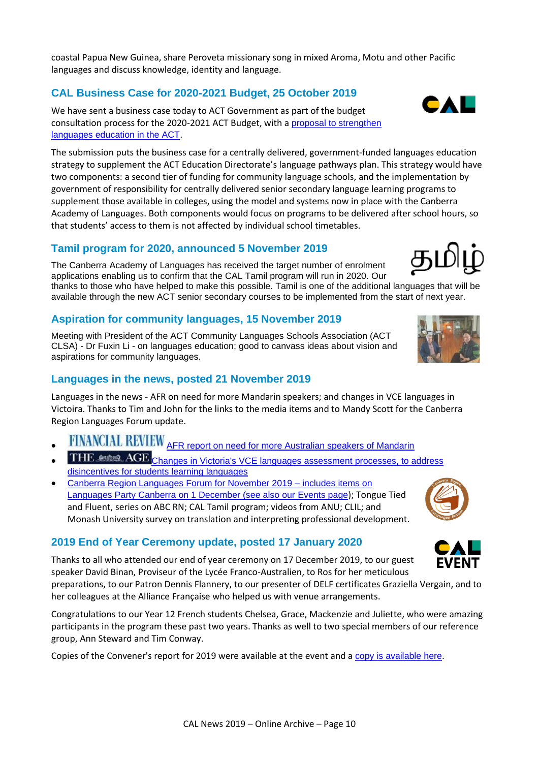coastal Papua New Guinea, share Peroveta missionary song in mixed Aroma, Motu and other Pacific languages and discuss knowledge, identity and language.

### **CAL Business Case for 2020-2021 Budget, 25 October 2019**

We have sent a business case today to ACT Government as part of the budget consultation process for the 2020-2021 ACT Budget, with a [proposal to strengthen](https://cal.act.edu.au/docs/CAL_Business_Case_for_2020-2021_ACT_Budget.pdf)  [languages education in the ACT](https://cal.act.edu.au/docs/CAL_Business_Case_for_2020-2021_ACT_Budget.pdf).

The submission puts the business case for a centrally delivered, government-funded languages education strategy to supplement the ACT Education Directorate's language pathways plan. This strategy would have two components: a second tier of funding for community language schools, and the implementation by government of responsibility for centrally delivered senior secondary language learning programs to supplement those available in colleges, using the model and systems now in place with the Canberra Academy of Languages. Both components would focus on programs to be delivered after school hours, so that students' access to them is not affected by individual school timetables.

#### **Tamil program for 2020, announced 5 November 2019**

The Canberra Academy of Languages has received the target number of enrolment applications enabling us to confirm that the CAL Tamil program will run in 2020. Our thanks to those who have helped to make this possible. Tamil is one of the additional languages that will be available through the new ACT senior secondary courses to be implemented from the start of next year.

#### **Aspiration for community languages, 15 November 2019**

Meeting with President of the ACT Community Languages Schools Association (ACT CLSA) - Dr Fuxin Li - on languages education; good to canvass ideas about vision and aspirations for community languages.

#### **Languages in the news, posted 21 November 2019**

Languages in the news - AFR on need for more Mandarin speakers; and changes in VCE languages in Victoira. Thanks to Tim and John for the links to the media items and to Mandy Scott for the Canberra Region Languages Forum update.

- FINANCIAL REVIEW [AFR report on need for more Australian speakers of Mandarin](http://www.afr.com/leadership/management/business-education/canberra-beijing-hurt-by-lack-of-australian-mandarin-speakers-20191115-p53b3r?btis)
- THE estel AGE Changes in Victoria's VCE languages assessment processes, to address [disincentives for students learning languages](https://www.theage.com.au/national/victoria/push-to-get-more-victorian-students-to-study-a-language-at-vce-level-20191120-p53ccf.html)
- [Canberra Region Languages Forum for November 2019 –](https://actbilingual.weebly.com/uploads/4/4/9/1/4491774/languages_forum_update_november_2019.pdf) includes items on [Languages Party Canberra on 1 December \(see also our](https://actbilingual.weebly.com/uploads/4/4/9/1/4491774/languages_forum_update_november_2019.pdf) [Events page](https://cal.act.edu.au/events.htm)); Tongue Tied and Fluent, series on ABC RN; CAL Tamil program; videos from ANU; CLIL; and Monash University survey on translation and interpreting professional development.

#### **2019 End of Year Ceremony update, posted 17 January 2020**

Thanks to all who attended our end of year ceremony on 17 December 2019, to our guest speaker David Binan, Proviseur of the Lycée Franco-Australien, to Ros for her meticulous

preparations, to our Patron Dennis Flannery, to our presenter of DELF certificates Graziella Vergain, and to her colleagues at the Alliance Française who helped us with venue arrangements.

Congratulations to our Year 12 French students Chelsea, Grace, Mackenzie and Juliette, who were amazing participants in the program these past two years. Thanks as well to two special members of our reference group, Ann Steward and Tim Conway.

Copies of the Convener's report for 2019 were available at the event and a [copy is available here](https://cal.act.edu.au/docs/Convener_Report_CAL_2019.pdf).